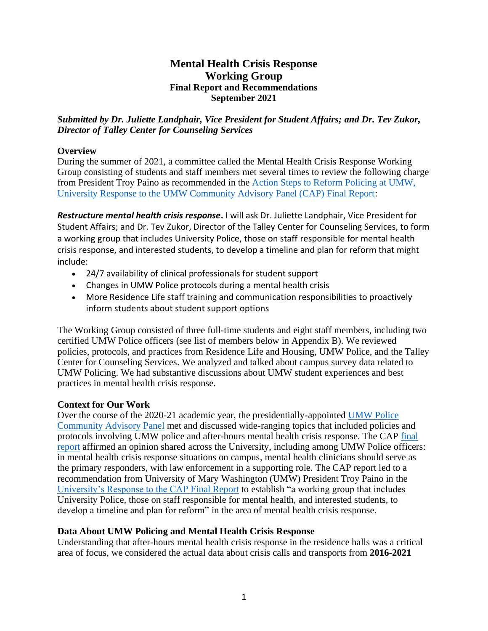# **Mental Health Crisis Response Working Group Final Report and Recommendations September 2021**

*Submitted by Dr. Juliette Landphair, Vice President for Student Affairs; and Dr. Tev Zukor, Director of Talley Center for Counseling Services*

## **Overview**

During the summer of 2021, a committee called the Mental Health Crisis Response Working Group consisting of students and staff members met several times to review the following charge from President Troy Paino as recommended in the [Action Steps to Reform Policing at UMW,](https://www.umw.edu/president/presidential-committees/umw-police-community-advisory-panel/action-steps-to-reform-policing-at-umw/)  [University Response to the UMW Community Advisory Panel \(CAP\) Final Report:](https://www.umw.edu/president/presidential-committees/umw-police-community-advisory-panel/action-steps-to-reform-policing-at-umw/)

*Restructure mental health crisis response***.** I will ask Dr. Juliette Landphair, Vice President for Student Affairs; and Dr. Tev Zukor, Director of the Talley Center for Counseling Services, to form a working group that includes University Police, those on staff responsible for mental health crisis response, and interested students, to develop a timeline and plan for reform that might include:

- 24/7 availability of clinical professionals for student support
- Changes in UMW Police protocols during a mental health crisis
- More Residence Life staff training and communication responsibilities to proactively inform students about student support options

The Working Group consisted of three full-time students and eight staff members, including two certified UMW Police officers (see list of members below in Appendix B). We reviewed policies, protocols, and practices from Residence Life and Housing, UMW Police, and the Talley Center for Counseling Services. We analyzed and talked about campus survey data related to UMW Policing. We had substantive discussions about UMW student experiences and best practices in mental health crisis response.

# **Context for Our Work**

Over the course of the 2020-21 academic year, the presidentially-appointed [UMW Police](https://www.umw.edu/president/presidential-committees/umw-police-community-advisory-panel/)  Community [Advisory Panel](https://www.umw.edu/president/presidential-committees/umw-police-community-advisory-panel/) met and discussed wide-ranging topics that included policies and protocols involving UMW police and after-hours mental health crisis response. The CAP final [report](http://www.umw.edu/president/wp-content/uploads/sites/37/2021/03/CAP-Final-Report-3.pdf) affirmed an opinion shared across the University, including among UMW Police officers: in mental health crisis response situations on campus, mental health clinicians should serve as the primary responders, with law enforcement in a supporting role. The CAP report led to a recommendation from University of Mary Washington (UMW) President Troy Paino in the [University's Response to the CAP Final Report](https://www.umw.edu/president/presidential-committees/umw-police-community-advisory-panel/action-steps-to-reform-policing-at-umw/) to establish "a working group that includes University Police, those on staff responsible for mental health, and interested students, to develop a timeline and plan for reform" in the area of mental health crisis response.

# **Data About UMW Policing and Mental Health Crisis Response**

Understanding that after-hours mental health crisis response in the residence halls was a critical area of focus, we considered the actual data about crisis calls and transports from **2016-2021**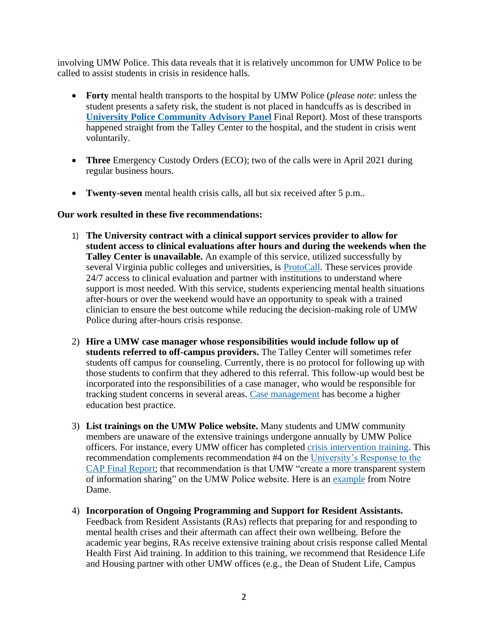involving UMW Police. This data reveals that it is relatively uncommon for UMW Police to be called to assist students in crisis in residence halls.

- **Forty** mental health transports to the hospital by UMW Police (*please note*: unless the student presents a safety risk, the student is not placed in handcuffs as is described in **[University Police Community Advisory Panel](http://www.umw.edu/president/wp-content/uploads/sites/37/2021/03/CAP-Final-Report-3.pdf)** Final Report). Most of these transports happened straight from the Talley Center to the hospital, and the student in crisis went voluntarily.
- **Three** Emergency Custody Orders (ECO); two of the calls were in April 2021 during regular business hours.
- **Twenty-seven** mental health crisis calls, all but six received after 5 p.m..

#### **Our work resulted in these five recommendations:**

- 1) **The University contract with a clinical support services provider to allow for student access to clinical evaluations after hours and during the weekends when the Talley Center is unavailable.** An example of this service, utilized successfully by several Virginia public colleges and universities, is [ProtoCall.](https://protocallservices.com/) These services provide 24/7 access to clinical evaluation and partner with institutions to understand where support is most needed. With this service, students experiencing mental health situations after-hours or over the weekend would have an opportunity to speak with a trained clinician to ensure the best outcome while reducing the decision-making role of UMW Police during after-hours crisis response.
- 2) **Hire a UMW case manager whose responsibilities would include follow up of students referred to off-campus providers.** The Talley Center will sometimes refer students off campus for counseling. Currently, there is no protocol for following up with those students to confirm that they adhered to this referral. This follow-up would best be incorporated into the responsibilities of a case manager, who would be responsible for tracking student concerns in several areas. [Case management](https://library.ncherm.org/library/nabita-library/21652NABITA%20-%20Standards%20for%20Case%20Management.pdf?Expires=1629069850&Signature=ftm~nM3JVGl6ARf9hb4oDjwNKWc61T9cEHgYFGnbrvBXZro8wxZc99i6yk3vZAVO9D8aDhM3hvJkRbvZKNeQRxG8zktWh6nXDPTrd2UNg~eY65pRm-DjdEAEx7jSN72Yrs-L11uHrhapddSVEsk1hqzpP9VtbYQZCAFNM5ozcJx1eE2q0jsPJB-kDOu3THikUtxO-b5PN89giKl1IvzJda7~IW8uSoxqoTA8lvZOrYMySzJMoXy6Vps~WVXqM7uTJmT4BH8t3z~gkprWaK8DexvwcvjBPwEw9s9Y-EvCmPUgi9qwP2b2ltB8iW1aMlWHTUBn45i179nA9gwsEGTUEw__&Key-Pair-Id=APKAJX5BPO7EFIM6Z7SQ) has become a higher education best practice.
- 3) **List trainings on the UMW Police website.** Many students and UMW community members are unaware of the extensive trainings undergone annually by UMW Police officers. For instance, every UMW officer has completed [crisis intervention training.](https://www.citinternational.org/Learn-About-CIT) This recommendation complements recommendation #4 on the [University's Response to the](https://www.umw.edu/president/presidential-committees/umw-police-community-advisory-panel/action-steps-to-reform-policing-at-umw/)  [CAP Final Report;](https://www.umw.edu/president/presidential-committees/umw-police-community-advisory-panel/action-steps-to-reform-policing-at-umw/) that recommendation is that UMW "create a more transparent system of information sharing" on the UMW Police website. Here is an [example](https://police.nd.edu/equity-in-policing/) from Notre Dame.
- 4) **Incorporation of Ongoing Programming and Support for Resident Assistants.** Feedback from Resident Assistants (RAs) reflects that preparing for and responding to mental health crises and their aftermath can affect their own wellbeing. Before the academic year begins, RAs receive extensive training about crisis response called Mental Health First Aid training. In addition to this training, we recommend that Residence Life and Housing partner with other UMW offices (e.g., the Dean of Student Life, Campus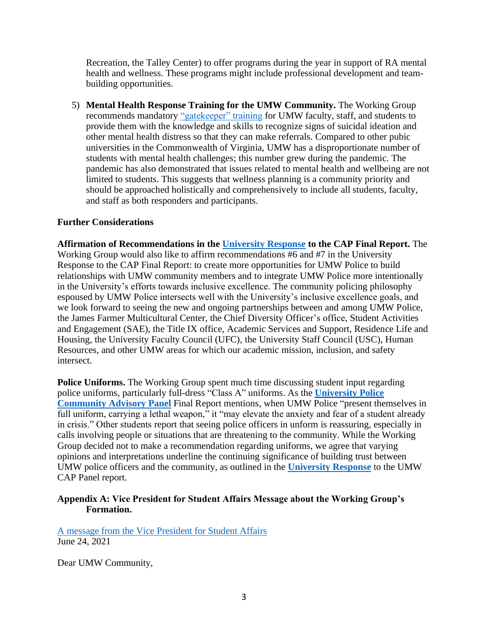Recreation, the Talley Center) to offer programs during the year in support of RA mental health and wellness. These programs might include professional development and teambuilding opportunities.

5) **Mental Health Response Training for the UMW Community.** The Working Group recommends mandatory ["gatekeeper" training](https://sprc.org/sites/default/files/resource-program/GatekeeperMatrix6-21-18_0.pdf) for UMW faculty, staff, and students to provide them with the knowledge and skills to recognize signs of suicidal ideation and other mental health distress so that they can make referrals. Compared to other pubic universities in the Commonwealth of Virginia, UMW has a disproportionate number of students with mental health challenges; this number grew during the pandemic. The pandemic has also demonstrated that issues related to mental health and wellbeing are not limited to students. This suggests that wellness planning is a community priority and should be approached holistically and comprehensively to include all students, faculty, and staff as both responders and participants.

## **Further Considerations**

**Affirmation of Recommendations in the [University Response](https://www.umw.edu/president/presidential-committees/umw-police-community-advisory-panel/action-steps-to-reform-policing-at-umw/) to the CAP Final Report.** The Working Group would also like to affirm recommendations #6 and #7 in the University Response to the CAP Final Report: to create more opportunities for UMW Police to build relationships with UMW community members and to integrate UMW Police more intentionally in the University's efforts towards inclusive excellence. The community policing philosophy espoused by UMW Police intersects well with the University's inclusive excellence goals, and we look forward to seeing the new and ongoing partnerships between and among UMW Police, the James Farmer Multicultural Center, the Chief Diversity Officer's office, Student Activities and Engagement (SAE), the Title IX office, Academic Services and Support, Residence Life and Housing, the University Faculty Council (UFC), the University Staff Council (USC), Human Resources, and other UMW areas for which our academic mission, inclusion, and safety intersect.

**Police Uniforms.** The Working Group spent much time discussing student input regarding police uniforms, particularly full-dress "Class A" uniforms. As the **[University Police](http://www.umw.edu/president/wp-content/uploads/sites/37/2021/03/CAP-Final-Report-3.pdf)  [Community Advisory Panel](http://www.umw.edu/president/wp-content/uploads/sites/37/2021/03/CAP-Final-Report-3.pdf)** Final Report mentions, when UMW Police "present themselves in full uniform, carrying a lethal weapon," it "may elevate the anxiety and fear of a student already in crisis." Other students report that seeing police officers in unform is reassuring, especially in calls involving people or situations that are threatening to the community. While the Working Group decided not to make a recommendation regarding uniforms, we agree that varying opinions and interpretations underline the continuing significance of building trust between UMW police officers and the community, as outlined in the **[University Response](https://www.umw.edu/president/presidential-committees/umw-police-community-advisory-panel/action-steps-to-reform-policing-at-umw/)** to the UMW CAP Panel report.

#### **Appendix A: Vice President for Student Affairs Message about the Working Group's Formation.**

[A message from the Vice President for Student Affairs](https://eagleeye.umw.edu/2021/06/24/a-message-from-the-vice-president-for-student-affairs-2/) June 24, 2021

Dear UMW Community,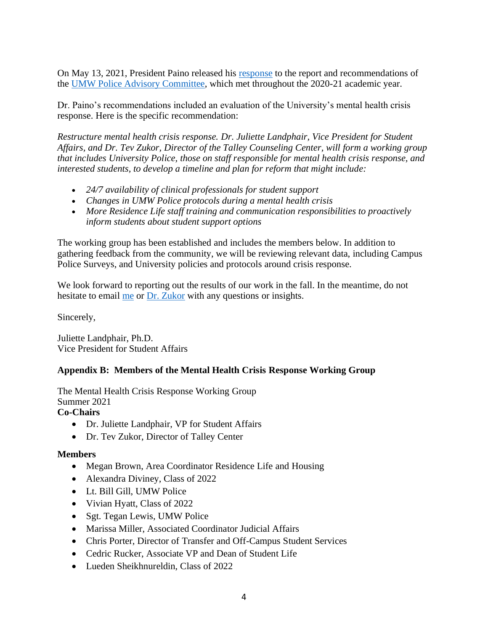On May 13, 2021, President Paino released his [response](https://www.umw.edu/president/presidential-committees/umw-police-community-advisory-panel/action-steps-to-reform-policing-at-umw/) to the report and recommendations of the [UMW Police Advisory Committee,](https://www.umw.edu/president/presidential-committees/umw-police-community-advisory-panel/) which met throughout the 2020-21 academic year.

Dr. Paino's recommendations included an evaluation of the University's mental health crisis response. Here is the specific recommendation:

*Restructure mental health crisis response. Dr. Juliette Landphair, Vice President for Student Affairs, and Dr. Tev Zukor, Director of the Talley Counseling Center, will form a working group that includes University Police, those on staff responsible for mental health crisis response, and interested students, to develop a timeline and plan for reform that might include:*

- *24/7 availability of clinical professionals for student support*
- *Changes in UMW Police protocols during a mental health crisis*
- *More Residence Life staff training and communication responsibilities to proactively inform students about student support options*

The working group has been established and includes the members below. In addition to gathering feedback from the community, we will be reviewing relevant data, including Campus Police Surveys, and University policies and protocols around crisis response.

We look forward to reporting out the results of our work in the fall. In the meantime, do not hesitate to email [me](mailto:jlandpha@umw.edu) or [Dr. Zukor](mailto:tzukor@umw.edu) with any questions or insights.

Sincerely,

Juliette Landphair, Ph.D. Vice President for Student Affairs

# **Appendix B: Members of the Mental Health Crisis Response Working Group**

The Mental Health Crisis Response Working Group Summer 2021 **Co-Chairs**

- Dr. Juliette Landphair, VP for Student Affairs
- Dr. Tev Zukor, Director of Talley Center

# **Members**

- Megan Brown, Area Coordinator Residence Life and Housing
- Alexandra Diviney, Class of 2022
- Lt. Bill Gill, UMW Police
- Vivian Hyatt, Class of 2022
- Sgt. Tegan Lewis, UMW Police
- Marissa Miller, Associated Coordinator Judicial Affairs
- Chris Porter, Director of Transfer and Off-Campus Student Services
- Cedric Rucker, Associate VP and Dean of Student Life
- Lueden Sheikhnureldin, Class of 2022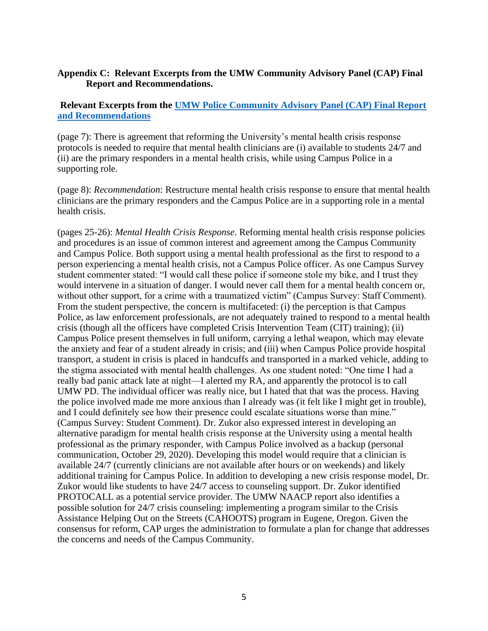#### **Appendix C: Relevant Excerpts from the UMW Community Advisory Panel (CAP) Final Report and Recommendations.**

## **Relevant Excerpts from the [UMW Police Community Advisory Panel \(CAP\) Final Report](http://www.umw.edu/president/wp-content/uploads/sites/37/2021/03/CAP-Final-Report-3.pdf)  [and Recommendations](http://www.umw.edu/president/wp-content/uploads/sites/37/2021/03/CAP-Final-Report-3.pdf)**

(page 7): There is agreement that reforming the University's mental health crisis response protocols is needed to require that mental health clinicians are (i) available to students 24/7 and (ii) are the primary responders in a mental health crisis, while using Campus Police in a supporting role.

(page 8): *Recommendation*: Restructure mental health crisis response to ensure that mental health clinicians are the primary responders and the Campus Police are in a supporting role in a mental health crisis.

(pages 25-26): *Mental Health Crisis Response*. Reforming mental health crisis response policies and procedures is an issue of common interest and agreement among the Campus Community and Campus Police. Both support using a mental health professional as the first to respond to a person experiencing a mental health crisis, not a Campus Police officer. As one Campus Survey student commenter stated: "I would call these police if someone stole my bike, and I trust they would intervene in a situation of danger. I would never call them for a mental health concern or, without other support, for a crime with a traumatized victim" (Campus Survey: Staff Comment). From the student perspective, the concern is multifaceted: (i) the perception is that Campus Police, as law enforcement professionals, are not adequately trained to respond to a mental health crisis (though all the officers have completed Crisis Intervention Team (CIT) training); (ii) Campus Police present themselves in full uniform, carrying a lethal weapon, which may elevate the anxiety and fear of a student already in crisis; and (iii) when Campus Police provide hospital transport, a student in crisis is placed in handcuffs and transported in a marked vehicle, adding to the stigma associated with mental health challenges. As one student noted: "One time I had a really bad panic attack late at night—I alerted my RA, and apparently the protocol is to call UMW PD. The individual officer was really nice, but I hated that that was the process. Having the police involved made me more anxious than I already was (it felt like I might get in trouble), and I could definitely see how their presence could escalate situations worse than mine." (Campus Survey: Student Comment). Dr. Zukor also expressed interest in developing an alternative paradigm for mental health crisis response at the University using a mental health professional as the primary responder, with Campus Police involved as a backup (personal communication, October 29, 2020). Developing this model would require that a clinician is available 24/7 (currently clinicians are not available after hours or on weekends) and likely additional training for Campus Police. In addition to developing a new crisis response model, Dr. Zukor would like students to have 24/7 access to counseling support. Dr. Zukor identified PROTOCALL as a potential service provider. The UMW NAACP report also identifies a possible solution for 24/7 crisis counseling: implementing a program similar to the Crisis Assistance Helping Out on the Streets (CAHOOTS) program in Eugene, Oregon. Given the consensus for reform, CAP urges the administration to formulate a plan for change that addresses the concerns and needs of the Campus Community.